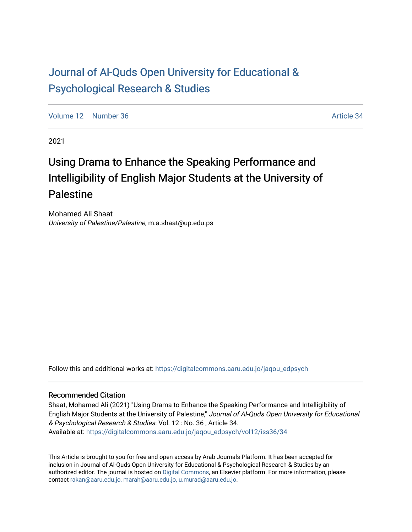# [Journal of Al-Quds Open University for Educational &](https://digitalcommons.aaru.edu.jo/jaqou_edpsych) [Psychological Research & Studies](https://digitalcommons.aaru.edu.jo/jaqou_edpsych)

[Volume 12](https://digitalcommons.aaru.edu.jo/jaqou_edpsych/vol12) [Number 36](https://digitalcommons.aaru.edu.jo/jaqou_edpsych/vol12/iss36) Article 34

2021

# Using Drama to Enhance the Speaking Performance and Intelligibility of English Major Students at the University of Palestine

Mohamed Ali Shaat University of Palestine/Palestine, m.a.shaat@up.edu.ps

Follow this and additional works at: [https://digitalcommons.aaru.edu.jo/jaqou\\_edpsych](https://digitalcommons.aaru.edu.jo/jaqou_edpsych?utm_source=digitalcommons.aaru.edu.jo%2Fjaqou_edpsych%2Fvol12%2Fiss36%2F34&utm_medium=PDF&utm_campaign=PDFCoverPages)

#### Recommended Citation

Shaat, Mohamed Ali (2021) "Using Drama to Enhance the Speaking Performance and Intelligibility of English Major Students at the University of Palestine," Journal of Al-Quds Open University for Educational & Psychological Research & Studies: Vol. 12 : No. 36 , Article 34. Available at: [https://digitalcommons.aaru.edu.jo/jaqou\\_edpsych/vol12/iss36/34](https://digitalcommons.aaru.edu.jo/jaqou_edpsych/vol12/iss36/34?utm_source=digitalcommons.aaru.edu.jo%2Fjaqou_edpsych%2Fvol12%2Fiss36%2F34&utm_medium=PDF&utm_campaign=PDFCoverPages) 

This Article is brought to you for free and open access by Arab Journals Platform. It has been accepted for inclusion in Journal of Al-Quds Open University for Educational & Psychological Research & Studies by an authorized editor. The journal is hosted on [Digital Commons,](https://www.elsevier.com/solutions/digital-commons) an Elsevier platform. For more information, please contact [rakan@aaru.edu.jo, marah@aaru.edu.jo, u.murad@aaru.edu.jo](mailto:rakan@aaru.edu.jo,%20marah@aaru.edu.jo,%20u.murad@aaru.edu.jo).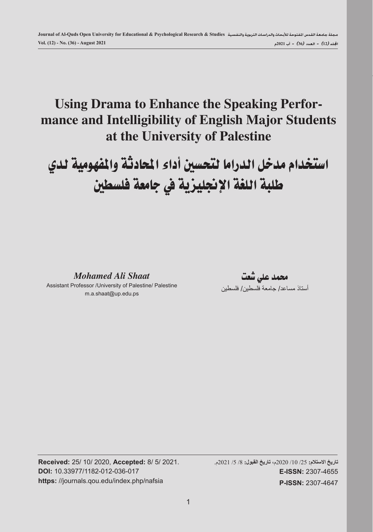# **Using Drama to Enhance the Speaking Performance and Intelligibility of English Major Students at the University of Palestine**

استخدام مدخل الدراما لتحسين أداء المحادثة والمفهومية لدي طلبة اللغة الإنجليزية في جامعة فلسطين

*Mohamed Ali Shaat*

Assistant Professor /University of Palestine/ Palestine m.a.shaat@up.edu.ps

حممد علي شعت أستاذ مساعد/ جامعة فلسطين/ فلسطين

**Received:** 25/ 10/ 2020, **Accepted:** 8/ 5/ 2021. **DOI:** 10.33977/1182-012-036-017 **https:** //journals.qou.edu/index.php/nafsia

**تاريخ االستالم:** /25 /10 2020م، **تاريخ القبول:** /8 /5 2021م. **E-ISSN:** 2307-4655 **P-ISSN:** 2307-4647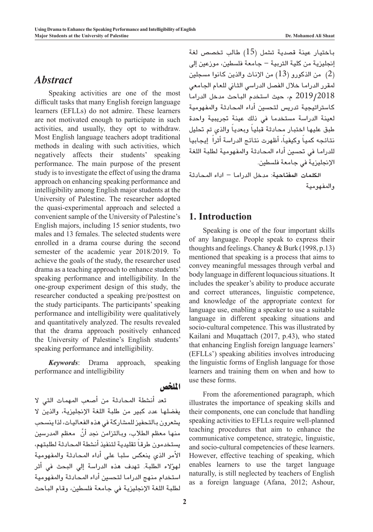# *Abstract*

Speaking activities are one of the most difficult tasks that many English foreign language learners (EFLLs) do not admire. These learners are not motivated enough to participate in such activities, and usually, they opt to withdraw. Most English language teachers adopt traditional methods in dealing with such activities, which negatively affects their students' speaking performance. The main purpose of the present study is to investigate the effect of using the drama approach on enhancing speaking performance and intelligibility among English major students at the University of Palestine. The researcher adopted the quasi-experimental approach and selected a convenient sample of the University of Palestine's English majors, including 15 senior students, two males and 13 females. The selected students were enrolled in a drama course during the second semester of the academic year 2018/2019. To achieve the goals of the study, the researcher used drama as a teaching approach to enhance students' speaking performance and intelligibility. In the one-group experiment design of this study, the researcher conducted a speaking pre/posttest on the study participants. The participants' speaking performance and intelligibility were qualitatively and quantitatively analyzed. The results revealed that the drama approach positively enhanced the University of Palestine's English students' speaking performance and intelligibility.

*Keywords*: Drama approach, speaking performance and intelligibility

الملخص

تعد أنشطة المحادثة من أصعب المهمات التي لا يف�ضلها عدد كبري من طلبة اللغة الإجنليزية، والذين ال يشعرون بالتحفيز للمشاركة في هذه الفعاليات، لذا ينسحب منها معظم الطلاب، وبالتزامن نجد أنَّ ۖ معظم المدرسين يستخدمون طرقاً تقليدية لتنفيذ أنشطة المحادثة لطلبتهم، الأمر الذي ينعك�س �سلبا على أداء املحادثة واملفهومية لهؤالء الطلبة. تهدف هذه الدرا�سة إيل البحث يف أثر استخدام منهج الدراما لتحسين أداء المحادثة والمفهومية لطلبة اللغة الإجنليزية يف جامعة فل�سطني، وقام الباحث

باختيار عينة قصدية تشمل (15) طالب تخصص لغة إنجليزية من كلية التربية – جامعة فلسطين، موزعين إلى )2( من الذكورو )13( من الإناث والذين كانوا م�سجلني لمقرر الدراما خلال الفصل الدراسي الثاني للعام الجامعي 2019/2018 م، حيث ا�ستخدم الباحث مدخل الدراما كاستراتيجية تدريس لتحسين أداء المحادثة والمفهومية لعينة الدرا�سة م�ستخدما يف ذلك عينة جتريبية واحدة طبق عليها اختبار محادثة قبلياً وبعدياً والذي تم تحليل نتائجه كمياً وكيفياً، أظهرت نتائج الدراسة أثراً إيجابيا للدراما في تحسين أداء المحادثة والمفهومية لطلبة اللغة الإنحليزية في جامعة فلسطين.

**الكلمات املفتاحية**: مدخل الدراما – اداء املحادثة واملفهومية

### **1. Introduction**

Speaking is one of the four important skills of any language. People speak to express their thoughts and feelings. Chaney & Burk (1998, p.13) mentioned that speaking is a process that aims to convey meaningful messages through verbal and body language in different loquacious situations. It includes the speaker's ability to produce accurate and correct utterances, linguistic competence, and knowledge of the appropriate context for language use, enabling a speaker to use a suitable language in different speaking situations and socio-cultural competence. This was illustrated by Kailani and Muqattach (2017, p.43), who stated that enhancing English foreign language learners' (EFLLs') speaking abilities involves introducing the linguistic forms of English language for those learners and training them on when and how to use these forms.

From the aforementioned paragraph, which illustrates the importance of speaking skills and their components, one can conclude that handling speaking activities to EFLLs require well-planned teaching procedures that aim to enhance the communicative competence, strategic, linguistic, and socio-cultural competencies of these learners. However, effective teaching of speaking, which enables learners to use the target language naturally, is still neglected by teachers of English as a foreign language (Afana, 2012; Ashour,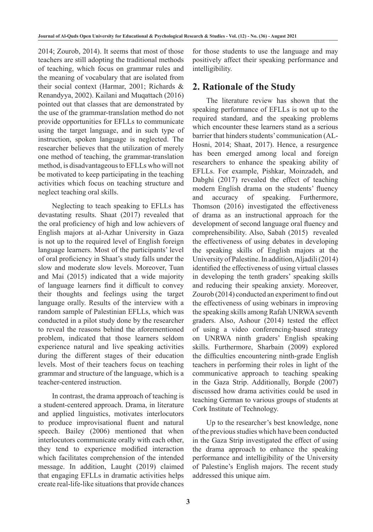2014; Zourob, 2014). It seems that most of those teachers are still adopting the traditional methods of teaching, which focus on grammar rules and the meaning of vocabulary that are isolated from their social context (Harmar, 2001; Richards & Renandyya, 2002). Kailani and Muqattach (2016) pointed out that classes that are demonstrated by the use of the grammar-translation method do not provide opportunities for EFLLs to communicate using the target language, and in such type of instruction, spoken language is neglected. The researcher believes that the utilization of merely one method of teaching, the grammar-translation method, is disadvantageous to EFLLs who will not be motivated to keep participating in the teaching activities which focus on teaching structure and neglect teaching oral skills.

Neglecting to teach speaking to EFLLs has devastating results. Shaat (2017) revealed that the oral proficiency of high and low achievers of English majors at al-Azhar University in Gaza is not up to the required level of English foreign language learners. Most of the participants' level of oral proficiency in Shaat's study falls under the slow and moderate slow levels. Moreover, Tuan and Mai (2015) indicated that a wide majority of language learners find it difficult to convey their thoughts and feelings using the target language orally. Results of the interview with a random sample of Palestinian EFLLs, which was conducted in a pilot study done by the researcher to reveal the reasons behind the aforementioned problem, indicated that those learners seldom experience natural and live speaking activities during the different stages of their education levels. Most of their teachers focus on teaching grammar and structure of the language, which is a teacher-centered instruction.

In contrast, the drama approach of teaching is a student-centered approach. Drama, in literature and applied linguistics, motivates interlocutors to produce improvisational fluent and natural speech. Bailey (2006) mentioned that when interlocutors communicate orally with each other, they tend to experience modified interaction which facilitates comprehension of the intended message. In addition, Laught (2019) claimed that engaging EFLLs in dramatic activities helps create real-life-like situations that provide chances for those students to use the language and may positively affect their speaking performance and intelligibility.

# **2. Rationale of the Study**

The literature review has shown that the speaking performance of EFLLs is not up to the required standard, and the speaking problems which encounter these learners stand as a serious barrier that hinders students' communication (AL-Hosni, 2014; Shaat, 2017). Hence, a resurgence has been emerged among local and foreign researchers to enhance the speaking ability of EFLLs. For example, Pishkar, Moinzadeh, and Dabghi (2017) revealed the effect of teaching modern English drama on the students' fluency and accuracy of speaking. Furthermore, Thomson (2016) investigated the effectiveness of drama as an instructional approach for the development of second language oral fluency and comprehensibility. Also, Sabah (2015) revealed the effectiveness of using debates in developing the speaking skills of English majors at the University of Palestine. In addition, Aljadili (2014) identified the effectiveness of using virtual classes in developing the tenth graders' speaking skills and reducing their speaking anxiety. Moreover, Zourob (2014) conducted an experiment to find out the effectiveness of using webinars in improving the speaking skills among Rafah UNRWA seventh graders. Also, Ashour (2014) tested the effect of using a video conferencing-based strategy on UNRWA ninth graders' English speaking skills. Furthermore, Sharbain (2009) explored the difficulties encountering ninth-grade English teachers in performing their roles in light of the communicative approach to teaching speaking in the Gaza Strip. Additionally, Borgde (2007) discussed how drama activities could be used in teaching German to various groups of students at Cork Institute of Technology.

Up to the researcher's best knowledge, none of the previous studies which have been conducted in the Gaza Strip investigated the effect of using the drama approach to enhance the speaking performance and intelligibility of the University of Palestine's English majors. The recent study addressed this unique aim.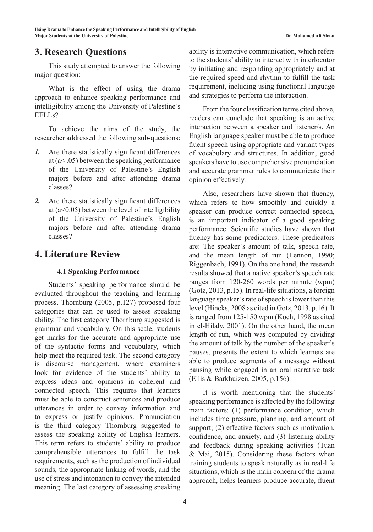### **3. Research Questions**

This study attempted to answer the following major question:

What is the effect of using the drama approach to enhance speaking performance and intelligibility among the University of Palestine's EFLLs?

To achieve the aims of the study, the researcher addressed the following sub-questions:

- *1.* Are there statistically significant differences at (a< .05) between the speaking performance of the University of Palestine's English majors before and after attending drama classes?
- *2.* Are there statistically significant differences at  $(a<0.05)$  between the level of intelligibility of the University of Palestine's English majors before and after attending drama classes?

# **4. Literature Review**

#### **4.1 Speaking Performance**

Students' speaking performance should be evaluated throughout the teaching and learning process. Thornburg (2005, p.127) proposed four categories that can be used to assess speaking ability. The first category Thornburg suggested is grammar and vocabulary. On this scale, students get marks for the accurate and appropriate use of the syntactic forms and vocabulary, which help meet the required task. The second category is discourse management, where examiners look for evidence of the students' ability to express ideas and opinions in coherent and connected speech. This requires that learners must be able to construct sentences and produce utterances in order to convey information and to express or justify opinions. Pronunciation is the third category Thornburg suggested to assess the speaking ability of English learners. This term refers to students' ability to produce comprehensible utterances to fulfill the task requirements, such as the production of individual sounds, the appropriate linking of words, and the use of stress and intonation to convey the intended meaning. The last category of assessing speaking

ability is interactive communication, which refers to the students' ability to interact with interlocutor by initiating and responding appropriately and at the required speed and rhythm to fulfill the task requirement, including using functional language and strategies to perform the interaction.

From the four classification terms cited above, readers can conclude that speaking is an active interaction between a speaker and listener/s. An English language speaker must be able to produce fluent speech using appropriate and variant types of vocabulary and structures. In addition, good speakers have to use comprehensive pronunciation and accurate grammar rules to communicate their opinion effectively.

Also, researchers have shown that fluency, which refers to how smoothly and quickly a speaker can produce correct connected speech, is an important indicator of a good speaking performance. Scientific studies have shown that fluency has some predicators. These predicators are: The speaker's amount of talk, speech rate, and the mean length of run (Lennon, 1990; Riggenbach, 1991). On the one hand, the research results showed that a native speaker's speech rate ranges from 120-260 words per minute (wpm) (Gotz, 2013, p.15). In real-life situations, a foreign language speaker's rate of speech is lower than this level (Hincks, 2008 as cited in Gotz, 2013, p.16). It is ranged from 125-150 wpm (Koch, 1998 as cited in el-Hilaly, 2001). On the other hand, the mean length of run, which was computed by dividing the amount of talk by the number of the speaker's pauses, presents the extent to which learners are able to produce segments of a message without pausing while engaged in an oral narrative task (Ellis & Barkhuizen, 2005, p.156).

It is worth mentioning that the students' speaking performance is affected by the following main factors: (1) performance condition, which includes time pressure, planning, and amount of support; (2) effective factors such as motivation, confidence, and anxiety, and (3) listening ability and feedback during speaking activities (Tuan & Mai, 2015). Considering these factors when training students to speak naturally as in real-life situations, which is the main concern of the drama approach, helps learners produce accurate, fluent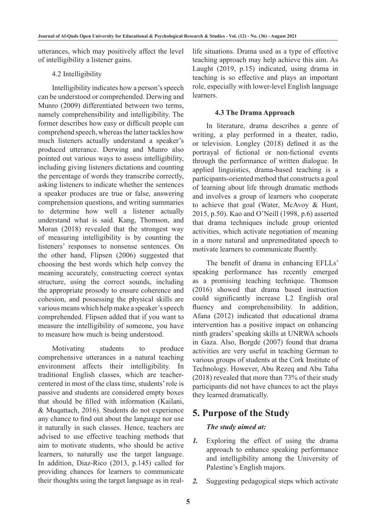utterances, which may positively affect the level of intelligibility a listener gains.

#### 4.2 Intelligibility

Intelligibility indicates how a person's speech can be understood or comprehended. Derwing and Munro (2009) differentiated between two terms, namely comprehensibility and intelligibility. The former describes how easy or difficult people can comprehend speech, whereas the latter tackles how much listeners actually understand a speaker's produced utterance. Derwing and Munro also pointed out various ways to assess intelligibility, including giving listeners dictations and counting the percentage of words they transcribe correctly, asking listeners to indicate whether the sentences a speaker produces are true or false, answering comprehension questions, and writing summaries to determine how well a listener actually understand what is said. Kang, Thomson, and Moran (2018) revealed that the strongest way of measuring intelligibility is by counting the listeners' responses to nonsense sentences. On the other hand, Flipsen (2006) suggested that choosing the best words which help convey the meaning accurately, constructing correct syntax structure, using the correct sounds, including the appropriate prosody to ensure coherence and cohesion, and possessing the physical skills are various means which help make a speaker's speech comprehended. Flipsen added that if you want to measure the intelligibility of someone, you have to measure how much is being understood.

Motivating students to produce comprehensive utterances in a natural teaching environment affects their intelligibility. In traditional English classes, which are teachercentered in most of the class time, students' role is passive and students are considered empty boxes that should be filled with information (Kailani, & Muqattach, 2016). Students do not experience any chance to find out about the language nor use it naturally in such classes. Hence, teachers are advised to use effective teaching methods that aim to motivate students, who should be active learners, to naturally use the target language. In addition, Diaz-Rico (2013, p.145) called for providing chances for learners to communicate their thoughts using the target language as in reallife situations. Drama used as a type of effective teaching approach may help achieve this aim. As Laught (2019, p.15) indicated, using drama in teaching is so effective and plays an important role, especially with lower-level English language learners.

#### **4.3 The Drama Approach**

In literature, drama describes a genre of writing, a play performed in a theater, radio, or television. Longley (2018) defined it as the portrayal of fictional or non-fictional events through the performance of written dialogue. In applied linguistics, drama-based teaching is a participants-oriented method that constructs a goal of learning about life through dramatic methods and involves a group of learners who cooperate to achieve that goal (Water, McAvoy & Hunt, 2015, p.50). Kao and O'Neill (1998, p.6) asserted that drama techniques include group oriented activities, which activate negotiation of meaning in a more natural and unpremeditated speech to motivate learners to communicate fluently.

The benefit of drama in enhancing EFLLs' speaking performance has recently emerged as a promising teaching technique. Thomson (2016) showed that drama based instruction could significantly increase L2 English oral fluency and comprehensibility. In addition, Afana (2012) indicated that educational drama intervention has a positive impact on enhancing ninth graders' speaking skills at UNRWA schools in Gaza. Also, Borgde (2007) found that drama activities are very useful in teaching German to various groups of students at the Cork Institute of Technology. However, Abu Rezeq and Abu Taha (2018) revealed that more than 73% of their study participants did not have chances to act the plays they learned dramatically.

### **5. Purpose of the Study**

#### *The study aimed at:*

- *1.* Exploring the effect of using the drama approach to enhance speaking performance and intelligibility among the University of Palestine's English majors.
- *2.* Suggesting pedagogical steps which activate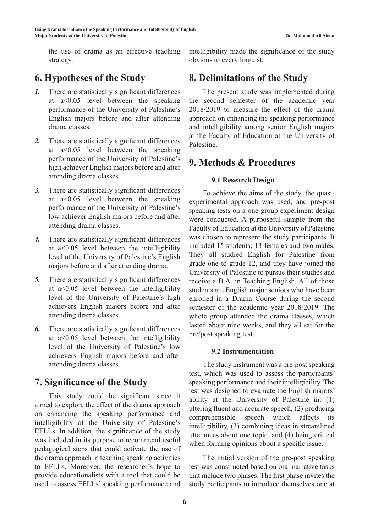the use of drama as an effective teaching strategy.

### **6. Hypotheses of the Study**

- *1.* There are statistically significant differences at a<0.05 level between the speaking performance of the University of Palestine's English majors before and after attending drama classes.
- *2.* There are statistically significant differences at a<0.05 level between the speaking performance of the University of Palestine's high achiever English majors before and after attending drama classes.
- *3.* There are statistically significant differences at a<0.05 level between the speaking performance of the University of Palestine's low achiever English majors before and after attending drama classes.
- *4.* There are statistically significant differences at a<0.05 level between the intelligibility level of the University of Palestine's English majors before and after attending drama.
- *5.* There are statistically significant differences at a<0.05 level between the intelligibility level of the University of Palestine's high achievers English majors before and after attending drama classes.
- *6.* There are statistically significant differences at a<0.05 level between the intelligibility level of the University of Palestine's low achievers English majors before and after attending drama classes.

### **7. Significance of the Study**

This study could be significant since it aimed to explore the effect of the drama approach on enhancing the speaking performance and intelligibility of the University of Palestine's EFLLs. In addition, the significance of the study was included in its purpose to recommend useful pedagogical steps that could activate the use of the drama approach in teaching speaking activities to EFLLs. Moreover, the researcher's hope to provide educationalists with a tool that could be used to assess EFLLs' speaking performance and

intelligibility made the significance of the study obvious to every linguist.

### **8. Delimitations of the Study**

The present study was implemented during the second semester of the academic year 2018/2019 to measure the effect of the drama approach on enhancing the speaking performance and intelligibility among senior English majors at the Faculty of Education at the University of Palestine.

### **9. Methods & Procedures**

#### **9.1 Research Design**

To achieve the aims of the study, the quasiexperimental approach was used, and pre-post speaking tests on a one-group experiment design were conducted. A purposeful sample from the Faculty of Education at the University of Palestine was chosen to represent the study participants. It included 15 students; 13 females and two males. They all studied English for Palestine from grade one to grade 12, and they have joined the University of Palestine to pursue their studies and receive a B.A. in Teaching English. All of those students are English major seniors who have been enrolled in a Drama Course during the second semester of the academic year 2018/2019. The whole group attended the drama classes, which lasted about nine weeks, and they all sat for the pre/post speaking test.

#### **9.2 Instrumentation**

The study instrument was a pre-post speaking test, which was used to assess the participants' speaking performance and their intelligibility. The test was designed to evaluate the English majors' ability at the University of Palestine in: (1) uttering fluent and accurate speech, (2) producing comprehensible speech which affects its intelligibility, (3) combining ideas in streamlined utterances about one topic, and (4) being critical when forming opinions about a specific issue.

The initial version of the pre-post speaking test was constructed based on oral narrative tasks that include two phases. The first phase invites the study participants to introduce themselves one at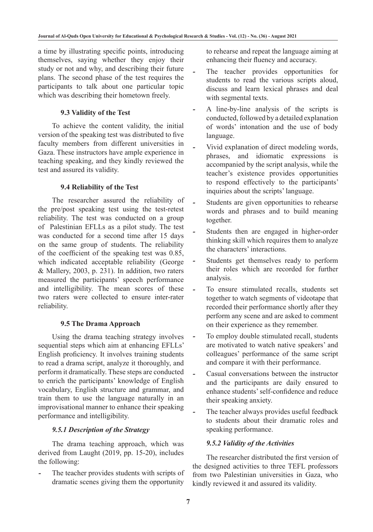a time by illustrating specific points, introducing themselves, saying whether they enjoy their study or not and why, and describing their future plans. The second phase of the test requires the participants to talk about one particular topic which was describing their hometown freely.

#### **9.3 Validity of the Test**

To achieve the content validity, the initial version of the speaking test was distributed to five faculty members from different universities in Gaza. These instructors have ample experience in teaching speaking, and they kindly reviewed the test and assured its validity.

#### **9.4 Reliability of the Test**

The researcher assured the reliability of the pre/post speaking test using the test-retest reliability. The test was conducted on a group of Palestinian EFLLs as a pilot study. The test was conducted for a second time after 15 days on the same group of students. The reliability of the coefficient of the speaking test was 0.85, which indicated acceptable reliability (George & Mallery, 2003, p. 231). In addition, two raters measured the participants' speech performance and intelligibility. The mean scores of these two raters were collected to ensure inter-rater reliability.

#### **9.5 The Drama Approach**

Using the drama teaching strategy involves sequential steps which aim at enhancing EFLLs' English proficiency. It involves training students to read a drama script, analyze it thoroughly, and perform it dramatically. These steps are conducted to enrich the participants' knowledge of English vocabulary, English structure and grammar, and train them to use the language naturally in an improvisational manner to enhance their speaking performance and intelligibility.

### *9.5.1 Description of the Strategy*

The drama teaching approach, which was derived from Laught (2019, pp. 15-20), includes the following:

The teacher provides students with scripts of dramatic scenes giving them the opportunity

to rehearse and repeat the language aiming at enhancing their fluency and accuracy.

- The teacher provides opportunities for students to read the various scripts aloud, discuss and learn lexical phrases and deal with segmental texts.
- *-* A line-by-line analysis of the scripts is conducted, followed by a detailed explanation of words' intonation and the use of body language.
- *-* Vivid explanation of direct modeling words, phrases, and idiomatic expressions is accompanied by the script analysis, while the teacher's existence provides opportunities to respond effectively to the participants' inquiries about the scripts' language.
- *-* Students are given opportunities to rehearse words and phrases and to build meaning together.
- *-* Students then are engaged in higher-order thinking skill which requires them to analyze the characters' interactions.
- *-* Students get themselves ready to perform their roles which are recorded for further analysis.
- *-* To ensure stimulated recalls, students set together to watch segments of videotape that recorded their performance shortly after they perform any scene and are asked to comment on their experience as they remember.
- *-* To employ double stimulated recall, students are motivated to watch native speakers' and colleagues' performance of the same script and compare it with their performance.
- *-* Casual conversations between the instructor and the participants are daily ensured to enhance students' self-confidence and reduce their speaking anxiety.
- The teacher always provides useful feedback to students about their dramatic roles and speaking performance.

### *9.5.2 Validity of the Activities*

The researcher distributed the first version of the designed activities to three TEFL professors from two Palestinian universities in Gaza, who kindly reviewed it and assured its validity.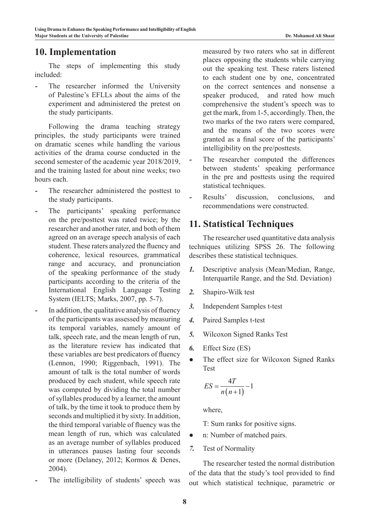### **10. Implementation**

The steps of implementing this study included:

The researcher informed the University of Palestine's EFLLs about the aims of the experiment and administered the pretest on the study participants.

Following the drama teaching strategy principles, the study participants were trained on dramatic scenes while handling the various activities of the drama course conducted in the second semester of the academic year 2018/2019, and the training lasted for about nine weeks; two hours each.

- *-* The researcher administered the posttest to the study participants.
- *-* The participants' speaking performance on the pre/posttest was rated twice; by the researcher and another rater, and both of them agreed on an average speech analysis of each student. These raters analyzed the fluency and coherence, lexical resources, grammatical range and accuracy, and pronunciation of the speaking performance of the study participants according to the criteria of the International English Language Testing System (IELTS; Marks, 2007, pp. 5-7).
- In addition, the qualitative analysis of fluency of the participants was assessed by measuring its temporal variables, namely amount of talk, speech rate, and the mean length of run, as the literature review has indicated that these variables are best predicators of fluency (Lennon, 1990; Riggenbach, 1991). The amount of talk is the total number of words produced by each student, while speech rate was computed by dividing the total number of syllables produced by a learner, the amount of talk, by the time it took to produce them by seconds and multiplied it by sixty. In addition, the third temporal variable of fluency was the mean length of run, which was calculated as an average number of syllables produced in utterances pauses lasting four seconds or more (Delaney, 2012; Kormos & Denes, 2004).
- The intelligibility of students' speech was

measured by two raters who sat in different places opposing the students while carrying out the speaking test. These raters listened to each student one by one, concentrated on the correct sentences and nonsense a speaker produced, and rated how much comprehensive the student's speech was to get the mark, from 1-5, accordingly. Then, the two marks of the two raters were compared, and the means of the two scores were granted as a final score of the participants' intelligibility on the pre/posttests.

- The researcher computed the differences between students' speaking performance in the pre and posttests using the required statistical techniques.
- Results' discussion, conclusions, and recommendations were constructed.

### **11. Statistical Techniques**

The researcher used quantitative data analysis techniques utilizing SPSS 26. The following describes these statistical techniques.

- *1.* Descriptive analysis (Mean/Median, Range, Interquartile Range, and the Std. Deviation)
- *2.* Shapiro-Wilk test
- *3.* Independent Samples t-test
- *4.* Paired Samples t-test
- *5.* Wilcoxon Signed Ranks Test
- *6.* Effect Size (ES)
- *●* The effect size for Wilcoxon Signed Ranks Test

$$
ES = \frac{4T}{n(n+1)} - 1
$$

where,

T: Sum ranks for positive signs.

- *●* n: Number of matched pairs.
- *7.* Test of Normality

The researcher tested the normal distribution of the data that the study's tool provided to find out which statistical technique, parametric or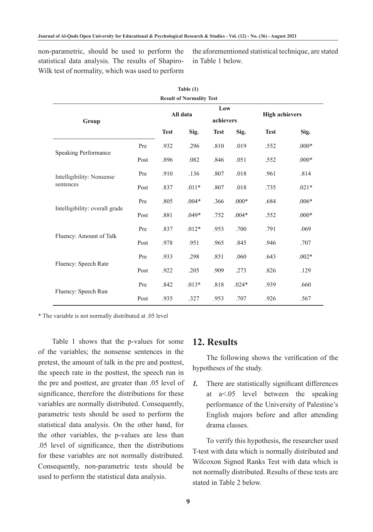non-parametric, should be used to perform the statistical data analysis. The results of Shapiro-Wilk test of normality, which was used to perform the aforementioned statistical technique, are stated in Table 1 below.

| Table $(1)$                            |      |             |                                 |                  |         |                       |         |
|----------------------------------------|------|-------------|---------------------------------|------------------|---------|-----------------------|---------|
|                                        |      |             | <b>Result of Normality Test</b> |                  |         |                       |         |
| Group                                  |      | All data    |                                 | Low<br>achievers |         | <b>High achievers</b> |         |
|                                        |      | <b>Test</b> | Sig.                            | <b>Test</b>      | Sig.    | <b>Test</b>           | Sig.    |
|                                        | Pre  | .932        | .296                            | .810             | .019    | .552                  | $.000*$ |
| <b>Speaking Performance</b>            | Post | .896        | .082                            | .846             | .051    | .552                  | $.000*$ |
| Intelligibility: Nonsense<br>sentences | Pre  | .910        | .136                            | .807             | .018    | .961                  | .814    |
|                                        | Post | .837        | $.011*$                         | .807             | .018    | .735                  | $.021*$ |
|                                        | Pre  | .805        | $.004*$                         | .366             | $.000*$ | .684                  | $.006*$ |
| Intelligibility: overall grade         | Post | .881        | $.049*$                         | .752             | $.004*$ | .552                  | $.000*$ |
|                                        | Pre  | .837        | $.012*$                         | .953             | .700    | .791                  | .069    |
| Fluency: Amount of Talk                | Post | .978        | .951                            | .965             | .845    | .946                  | .707    |
|                                        | Pre  | .933        | .298                            | .851             | .060    | .643                  | $.002*$ |
| Fluency: Speech Rate                   | Post | .922        | .205                            | .909             | .273    | .826                  | .129    |
|                                        | Pre  | .842        | $.013*$                         | .818             | $.024*$ | .939                  | .660    |
| Fluency: Speech Run                    | Post | .935        | .327                            | .953             | .707    | .926                  | .567    |

\* The variable is not normally distributed at .05 level

Table 1 shows that the p-values for some of the variables; the nonsense sentences in the pretest, the amount of talk in the pre and posttest, the speech rate in the posttest, the speech run in the pre and posttest, are greater than .05 level of significance, therefore the distributions for these variables are normally distributed. Consequently, parametric tests should be used to perform the statistical data analysis. On the other hand, for the other variables, the p-values are less than .05 level of significance, then the distributions for these variables are not normally distributed. Consequently, non-parametric tests should be used to perform the statistical data analysis.

### **12. Results**

The following shows the verification of the hypotheses of the study.

*1.* There are statistically significant differences at a<.05 level between the speaking performance of the University of Palestine's English majors before and after attending drama classes.

To verify this hypothesis, the researcher used T-test with data which is normally distributed and Wilcoxon Signed Ranks Test with data which is not normally distributed. Results of these tests are stated in Table 2 below.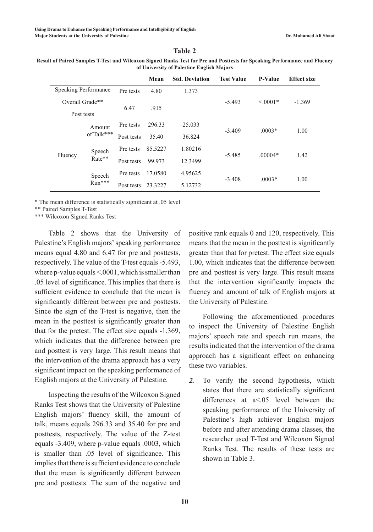#### **Table 2**

| Result of Paired Samples T-Test and Wilcoxon Signed Ranks Test for Pre and Posttests for Speaking Performance and Fluency |  |
|---------------------------------------------------------------------------------------------------------------------------|--|
| of University of Palestine English Majors                                                                                 |  |

|         |                             |            | Mean    | <b>Std. Deviation</b> | <b>Test Value</b> | <b>P-Value</b> | <b>Effect size</b> |  |
|---------|-----------------------------|------------|---------|-----------------------|-------------------|----------------|--------------------|--|
|         | <b>Speaking Performance</b> | Pre tests  | 4.80    | 1.373                 |                   |                |                    |  |
|         | Overall Grade**             | 6.47       | .915    |                       | $-5.493$          | $\leq 0.001*$  | $-1.369$           |  |
|         | Post tests                  |            |         |                       |                   |                |                    |  |
|         | Amount                      | Pre tests  | 296.33  | 25.033                | $-3.409$          | $.0003*$       | 1.00               |  |
|         | of Talk***                  | Post tests | 35.40   | 36.824                |                   |                |                    |  |
|         | Speech                      | Pre tests  | 85.5227 | 1.80216               |                   |                |                    |  |
| Fluency | Rate**                      | Post tests | 99.973  | 12.3499               | $-5.485$          | $.00004*$      | 1.42               |  |
|         | Speech                      | Pre tests  | 17.0580 | 4.95625               | $-3.408$          | $.0003*$       |                    |  |
|         | Run***                      | Post tests | 23.3227 | 5.12732               |                   |                | 1.00               |  |

\* The mean difference is statistically significant at .05 level

\*\* Paired Samples T-Test

\*\*\* Wilcoxon Signed Ranks Test

Table 2 shows that the University of Palestine's English majors' speaking performance means equal 4.80 and 6.47 for pre and posttests, respectively. The value of the T-test equals -5.493, where p-value equals <.0001, which is smaller than .05 level of significance. This implies that there is sufficient evidence to conclude that the mean is significantly different between pre and posttests. Since the sign of the T-test is negative, then the mean in the posttest is significantly greater than that for the pretest. The effect size equals -1.369, which indicates that the difference between pre and posttest is very large. This result means that the intervention of the drama approach has a very significant impact on the speaking performance of English majors at the University of Palestine.

Inspecting the results of the Wilcoxon Signed Ranks Test shows that the University of Palestine English majors' fluency skill, the amount of talk, means equals 296.33 and 35.40 for pre and posttests, respectively. The value of the Z-test equals -3.409, where p-value equals .0003, which is smaller than .05 level of significance. This implies that there is sufficient evidence to conclude that the mean is significantly different between pre and posttests. The sum of the negative and

positive rank equals 0 and 120, respectively. This means that the mean in the posttest is significantly greater than that for pretest. The effect size equals 1.00, which indicates that the difference between pre and posttest is very large. This result means that the intervention significantly impacts the fluency and amount of talk of English majors at the University of Palestine.

Following the aforementioned procedures to inspect the University of Palestine English majors' speech rate and speech run means, the results indicated that the intervention of the drama approach has a significant effect on enhancing these two variables.

*2.* To verify the second hypothesis, which states that there are statistically significant differences at a<.05 level between the speaking performance of the University of Palestine's high achiever English majors before and after attending drama classes, the researcher used T-Test and Wilcoxon Signed Ranks Test. The results of these tests are shown in Table 3.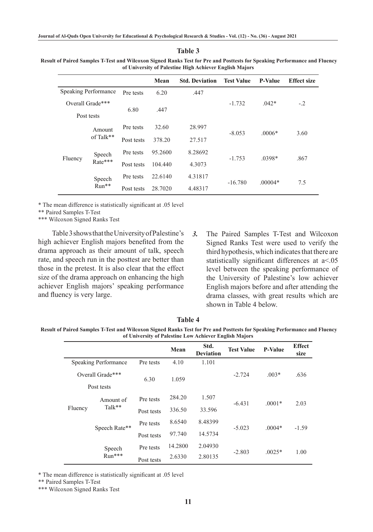**Table 3**

 **Result of Paired Samples T-Test and Wilcoxon Signed Ranks Test for Pre and Posttests for Speaking Performance and Fluency of University of Palestine High Achiever English Majors**

|                                                 |                             |            | Mean    | <b>Std. Deviation</b> | <b>Test Value</b> | <b>P-Value</b> | <b>Effect size</b> |  |
|-------------------------------------------------|-----------------------------|------------|---------|-----------------------|-------------------|----------------|--------------------|--|
|                                                 | <b>Speaking Performance</b> | Pre tests  | 6.20    | .447                  |                   |                |                    |  |
|                                                 | Overall Grade***            | 6.80       | .447    |                       | $-1.732$          | $.042*$        | $-.2$              |  |
|                                                 | Post tests                  |            |         |                       |                   |                |                    |  |
| Amount<br>of Talk**                             | Pre tests                   | 32.60      | 28.997  | $-8.053$              | $.0006*$          | 3.60           |                    |  |
|                                                 | Post tests                  | 378.20     | 27.517  |                       |                   |                |                    |  |
| Speech<br>Fluency<br>Rate***<br>Speech<br>Run** | Pre tests                   | 95.2600    | 8.28692 |                       |                   |                |                    |  |
|                                                 | Post tests                  | 104.440    | 4.3073  | $-1.753$              | $.0398*$          | .867           |                    |  |
|                                                 |                             | Pre tests  | 22.6140 | 4.31817               | $-16.780$         | $.00004*$      | 7.5                |  |
|                                                 |                             | Post tests | 28.7020 | 4.48317               |                   |                |                    |  |

\* The mean difference is statistically significant at .05 level

\*\* Paired Samples T-Test

\*\*\* Wilcoxon Signed Ranks Test

Table 3 shows that the University of Palestine's high achiever English majors benefited from the drama approach as their amount of talk, speech rate, and speech run in the posttest are better than those in the pretest. It is also clear that the effect size of the drama approach on enhancing the high achiever English majors' speaking performance and fluency is very large.

*3.* The Paired Samples T-Test and Wilcoxon Signed Ranks Test were used to verify the third hypothesis, which indicates that there are statistically significant differences at  $a$ <.05 level between the speaking performance of the University of Palestine's low achiever English majors before and after attending the drama classes, with great results which are shown in Table 4 below.

**Table 4**

 **Result of Paired Samples T-Test and Wilcoxon Signed Ranks Test for Pre and Posttests for Speaking Performance and Fluency of University of Palestine Low Achiever English Majors**

|                  |                             |            | Mean    | Std.<br><b>Deviation</b> | <b>Test Value</b> | <b>P-Value</b> | <b>Effect</b><br>size |
|------------------|-----------------------------|------------|---------|--------------------------|-------------------|----------------|-----------------------|
|                  | <b>Speaking Performance</b> | Pre tests  | 4.10    | 1.101                    |                   |                |                       |
| Overall Grade*** |                             | 6.30       | 1.059   |                          | $-2.724$          | $.003*$        | .636                  |
|                  | Post tests                  |            |         |                          |                   |                |                       |
|                  | Amount of<br>$Talk**$       | Pre tests  | 284.20  | 1.507                    | $-6.431$          | $.0001*$       | 2.03                  |
| Fluency          |                             | Post tests | 336.50  | 33.596                   |                   |                |                       |
|                  |                             | Pre tests  | 8.6540  | 8.48399                  |                   |                |                       |
|                  | Speech Rate**               | Post tests | 97.740  | 14.5734                  | $-5.023$          | $.0004*$       | $-1.59$               |
|                  | Speech                      | Pre tests  | 14.2800 | 2.04930                  |                   |                |                       |
|                  | Run***                      | Post tests | 2.6330  | 2.80135                  | $-2.803$          | $.0025*$       | 1.00                  |

\* The mean difference is statistically significant at .05 level

\*\* Paired Samples T-Test

\*\*\* Wilcoxon Signed Ranks Test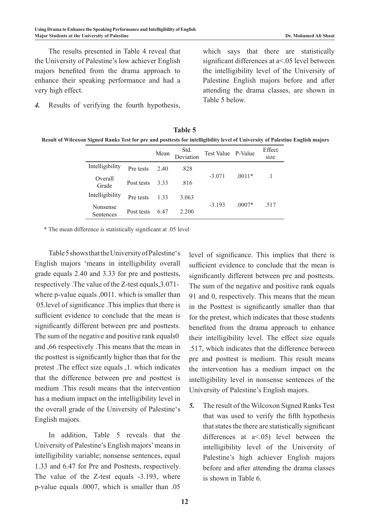The results presented in Table 4 reveal that the University of Palestine's low achiever English majors benefited from the drama approach to enhance their speaking performance and had a very high effect.

*4.* Results of verifying the fourth hypothesis,

which says that there are statistically significant differences at a<.05 level between the intelligibility level of the University of Palestine English majors before and after attending the drama classes, are shown in Table 5 below.

| <b>Table 5</b>                                                                                                                 |
|--------------------------------------------------------------------------------------------------------------------------------|
| Result of Wilcoxon Signed Ranks Test for pre and posttests for intelligibility level of University of Palestine English majors |

|                       |            | Mean | Std.<br>Deviation | Test Value | P-Value  | Effect<br>size |
|-----------------------|------------|------|-------------------|------------|----------|----------------|
| Intelligibility       | Pre tests  | 2.40 | .828              |            |          |                |
| Overall<br>Grade      | Post tests | 333  | .816              | $-3.071$   | $.0011*$ |                |
| Intelligibility       | Pre tests  | 1 33 | 3.063             |            |          |                |
| Nonsense<br>Sentences | Post tests | 6.47 | 2.200             | $-3.193$   | $.0007*$ | .517           |

\* The mean difference is statistically significant at .05 level

Table5showsthattheUniversityofPalestine's English majors 'means in intelligibility overall grade equals 2.40 and 3.33 for pre and posttests, respectively .The value of the Z-test equals,3.071 where p-value equals ,0011. which is smaller than 05.level of significance .This implies that there is sufficient evidence to conclude that the mean is significantly different between pre and posttests. The sum of the negative and positive rank equals0 and ,66 respectively .This means that the mean in the posttest is significantly higher than that for the pretest .The effect size equals ,1. which indicates that the difference between pre and posttest is medium .This result means that the intervention has a medium impact on the intelligibility level in the overall grade of the University of Palestine's English majors.

In addition, Table 5 reveals that the University of Palestine's English majors' means in intelligibility variable; nonsense sentences, equal 1.33 and 6.47 for Pre and Posttests, respectively. The value of the Z-test equals -3.193, where p-value equals .0007, which is smaller than .05

level of significance. This implies that there is sufficient evidence to conclude that the mean is significantly different between pre and posttests. The sum of the negative and positive rank equals 91 and 0, respectively. This means that the mean in the Posttest is significantly smaller than that for the pretest, which indicates that those students benefited from the drama approach to enhance their intelligibility level. The effect size equals .517, which indicates that the difference between pre and posttest is medium. This result means the intervention has a medium impact on the intelligibility level in nonsense sentences of the University of Palestine's English majors.

*5.* The result of the Wilcoxon Signed Ranks Test that was used to verify the fifth hypothesis that states the there are statistically significant differences at  $a \le 0.05$ ) level between the intelligibility level of the University of Palestine's high achiever English majors before and after attending the drama classes is shown in Table 6.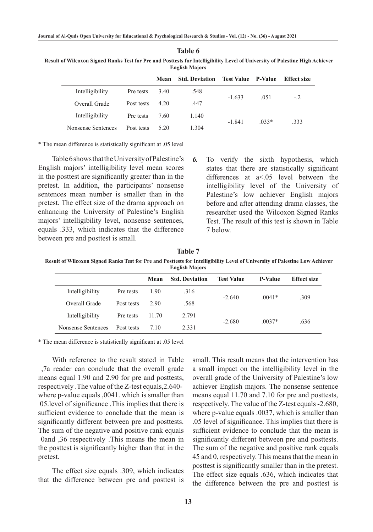| <b>English Majors</b> |            |       |                       |                           |         |                    |  |  |
|-----------------------|------------|-------|-----------------------|---------------------------|---------|--------------------|--|--|
|                       |            | Mean  | <b>Std. Deviation</b> | <b>Test Value</b> P-Value |         | <b>Effect size</b> |  |  |
| Intelligibility       | Pre tests  | 3.40  | .548                  | $-1.633$                  | .051    | $-2$               |  |  |
| Overall Grade         | Post tests | 4 2 0 | .447                  |                           |         |                    |  |  |
| Intelligibility       | Pre tests  | 7.60  | 1.140                 | $-1841$                   | $.033*$ | 333                |  |  |
| Nonsense Sentences    | Post tests | 5.20  | 1.304                 |                           |         |                    |  |  |

 **Result of Wilcoxon Signed Ranks Test for Pre and Posttests for Intelligibility Level of University of Palestine High Achiever English Majors**

**Table 6**

\* The mean difference is statistically significant at .05 level

Table 6 shows that the University of Palestine's English majors' intelligibility level mean scores in the posttest are significantly greater than in the pretest. In addition, the participants' nonsense sentences mean number is smaller than in the pretest. The effect size of the drama approach on enhancing the University of Palestine's English majors' intelligibility level, nonsense sentences, equals .333, which indicates that the difference between pre and posttest is small.

*6.* To verify the sixth hypothesis, which states that there are statistically significant differences at a<.05 level between the intelligibility level of the University of Palestine's low achiever English majors before and after attending drama classes, the researcher used the Wilcoxon Signed Ranks Test. The result of this test is shown in Table 7 below.

**Table 7**

 **Result of Wilcoxon Signed Ranks Test for Pre and Posttests for Intelligibility Level of University of Palestine Low Achiever English Majors**

|                    |            | Mean  | <b>Std. Deviation</b> | <b>Test Value</b> | <b>P-Value</b> | <b>Effect size</b> |
|--------------------|------------|-------|-----------------------|-------------------|----------------|--------------------|
| Intelligibility    | Pre tests  | 1.90  | .316                  | $-2.640$          | $0041*$        | .309               |
| Overall Grade      | Post tests | 2.90  | .568                  |                   |                |                    |
| Intelligibility    | Pre tests  | 11.70 | 2.791                 |                   |                | .636               |
| Nonsense Sentences | Post tests | 7 10  | 2.331                 | $-2.680$          | $.0037*$       |                    |

\* The mean difference is statistically significant at .05 level

With reference to the result stated in Table ,7a reader can conclude that the overall grade means equal 1.90 and 2.90 for pre and posttests, respectively .The value of the Z-test equals,2.640 where p-value equals ,0041. which is smaller than 05.level of significance .This implies that there is sufficient evidence to conclude that the mean is significantly different between pre and posttests. The sum of the negative and positive rank equals 0and ,36 respectively .This means the mean in the posttest is significantly higher than that in the pretest.

The effect size equals .309, which indicates that the difference between pre and posttest is small. This result means that the intervention has a small impact on the intelligibility level in the overall grade of the University of Palestine's low achiever English majors. The nonsense sentence means equal 11.70 and 7.10 for pre and posttests, respectively. The value of the Z-test equals -2.680, where p-value equals .0037, which is smaller than .05 level of significance. This implies that there is sufficient evidence to conclude that the mean is significantly different between pre and posttests. The sum of the negative and positive rank equals 45 and 0, respectively. This means that the mean in posttest is significantly smaller than in the pretest. The effect size equals .636, which indicates that the difference between the pre and posttest is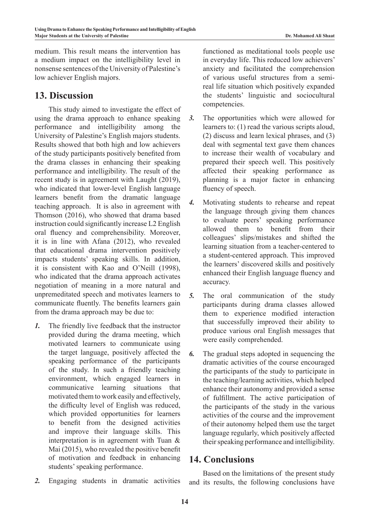medium. This result means the intervention has a medium impact on the intelligibility level in nonsense sentences of the University of Palestine's low achiever English majors.

### **13. Discussion**

This study aimed to investigate the effect of using the drama approach to enhance speaking performance and intelligibility among the University of Palestine's English majors students. Results showed that both high and low achievers of the study participants positively benefited from the drama classes in enhancing their speaking performance and intelligibility. The result of the recent study is in agreement with Laught (2019), who indicated that lower-level English language learners benefit from the dramatic language teaching approach. It is also in agreement with Thomson (2016), who showed that drama based instruction could significantly increase L2 English oral fluency and comprehensibility. Moreover, it is in line with Afana (2012), who revealed that educational drama intervention positively impacts students' speaking skills. In addition, it is consistent with Kao and O'Neill (1998), who indicated that the drama approach activates negotiation of meaning in a more natural and unpremeditated speech and motivates learners to communicate fluently. The benefits learners gain from the drama approach may be due to:

- *1.* The friendly live feedback that the instructor provided during the drama meeting, which motivated learners to communicate using the target language, positively affected the speaking performance of the participants of the study. In such a friendly teaching environment, which engaged learners in communicative learning situations that motivated them to work easily and effectively, the difficulty level of English was reduced, which provided opportunities for learners to benefit from the designed activities and improve their language skills. This interpretation is in agreement with Tuan & Mai (2015), who revealed the positive benefit of motivation and feedback in enhancing students' speaking performance.
- *2.* Engaging students in dramatic activities

functioned as meditational tools people use in everyday life. This reduced low achievers' anxiety and facilitated the comprehension of various useful structures from a semireal life situation which positively expanded the students' linguistic and sociocultural competencies.

- *3.* The opportunities which were allowed for learners to: (1) read the various scripts aloud, (2) discuss and learn lexical phrases, and (3) deal with segmental text gave them chances to increase their wealth of vocabulary and prepared their speech well. This positively affected their speaking performance as planning is a major factor in enhancing fluency of speech.
- *4.* Motivating students to rehearse and repeat the language through giving them chances to evaluate peers' speaking performance allowed them to benefit from their colleagues' slips/mistakes and shifted the learning situation from a teacher-centered to a student-centered approach. This improved the learners' discovered skills and positively enhanced their English language fluency and accuracy.
- *5.* The oral communication of the study participants during drama classes allowed them to experience modified interaction that successfully improved their ability to produce various oral English messages that were easily comprehended.
- *6.* The gradual steps adopted in sequencing the dramatic activities of the course encouraged the participants of the study to participate in the teaching/learning activities, which helped enhance their autonomy and provided a sense of fulfillment. The active participation of the participants of the study in the various activities of the course and the improvement of their autonomy helped them use the target language regularly, which positively affected their speaking performance and intelligibility.

# **14. Conclusions**

Based on the limitations of the present study and its results, the following conclusions have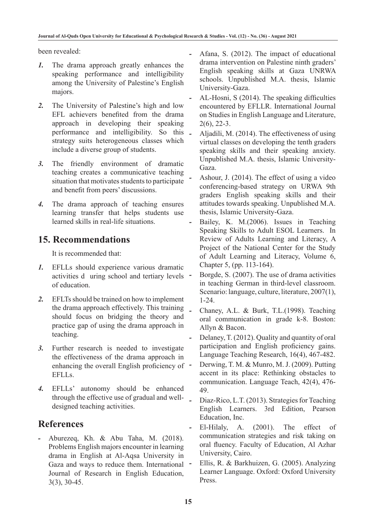been revealed:

- *1.* The drama approach greatly enhances the speaking performance and intelligibility among the University of Palestine's English majors.
- *2.* The University of Palestine's high and low EFL achievers benefited from the drama approach in developing their speaking performance and intelligibility. So this strategy suits heterogeneous classes which include a diverse group of students.
- *3.* The friendly environment of dramatic teaching creates a communicative teaching situation that motivates students to participate and benefit from peers' discussions.
- *4.* The drama approach of teaching ensures learning transfer that helps students use learned skills in real-life situations.

# **15. Recommendations**

It is recommended that:

- *1.* EFLLs should experience various dramatic activities d uring school and tertiary levels of education.
- *2.* EFLTs should be trained on how to implement the drama approach effectively. This training should focus on bridging the theory and practice gap of using the drama approach in teaching.
- *3.* Further research is needed to investigate the effectiveness of the drama approach in enhancing the overall English proficiency of -EFLLs.
- *4.* EFLLs' autonomy should be enhanced through the effective use of gradual and welldesigned teaching activities.

# **References**

*-* Aburezeq, Kh. & Abu Taha, M. (2018). Problems English majors encounter in learning drama in English at Al-Aqsa University in Gaza and ways to reduce them. International Journal of Research in English Education, 3(3), 30-45.

- *-* Afana, S. (2012). The impact of educational drama intervention on Palestine ninth graders' English speaking skills at Gaza UNRWA schools. Unpublished M.A. thesis, Islamic University-Gaza.
- *-* AL-Hosni, S (2014). The speaking difficulties encountered by EFLLR. International Journal on Studies in English Language and Literature, 2(6), 22-3.
- *-* Aljadili, M. (2014). The effectiveness of using virtual classes on developing the tenth graders speaking skills and their speaking anxiety. Unpublished M.A. thesis, Islamic University-Gaza.
- *-* Ashour, J. (2014). The effect of using a video conferencing-based strategy on URWA 9th graders English speaking skills and their attitudes towards speaking. Unpublished M.A. thesis, Islamic University-Gaza.
- Bailey, K. M.(2006). Issues in Teaching Speaking Skills to Adult ESOL Learners. In Review of Adults Learning and Literacy, A Project of the National Center for the Study of Adult Learning and Literacy, Volume 6, Chapter 5, (pp. 113-164).
- Borgde, S. (2007). The use of drama activities in teaching German in third-level classroom. Scenario: language, culture, literature, 2007(1), 1-24.
- *-* Chaney, A.L. & Burk, T.L.(1998). Teaching oral communication in grade k-8. Boston: Allyn & Bacon.
- *-* Delaney, T. (2012). Quality and quantity of oral participation and English proficiency gains. Language Teaching Research, 16(4), 467-482.
- *-* Derwing, T. M. & Munro, M. J. (2009). Putting accent in its place: Rethinking obstacles to communication. Language Teach, 42(4), 476- 49.
- *-* Diaz-Rico, L.T. (2013). Strategies for Teaching English Learners. 3rd Edition, Pearson Education, Inc.
- *-* El-Hilaly, A. (2001). The effect of communication strategies and risk taking on oral fluency. Faculty of Education, Al Azhar University, Cairo.
- *-* Ellis, R. & Barkhuizen, G. (2005). Analyzing Learner Language. Oxford: Oxford University Press.